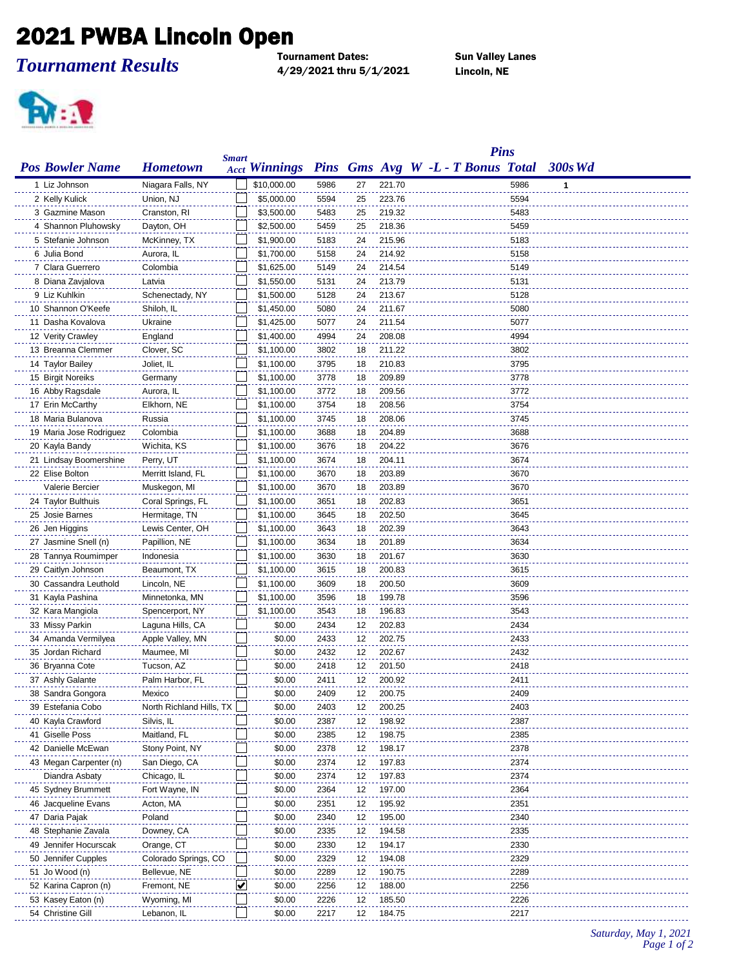## 2021 PWBA Lincoln Open

*Tournament Results*

Tournament Dates: Sun Valley Lanes 4/29/2021 thru 5/1/2021 Lincoln, NE



|                         |                          |                             |                      |      |    |        | <b>Pins</b>                       |              |         |  |
|-------------------------|--------------------------|-----------------------------|----------------------|------|----|--------|-----------------------------------|--------------|---------|--|
| <b>Pos Bowler Name</b>  | <b>Hometown</b>          | <b>Smart</b>                | <b>Acct Winnings</b> |      |    |        | Pins Gms Avg W -L - T Bonus Total |              | 300s Wd |  |
| 1 Liz Johnson           | Niagara Falls, NY        |                             | \$10,000.00          | 5986 | 27 | 221.70 |                                   | 5986         | 1       |  |
| 2 Kelly Kulick          | Union, NJ                |                             | \$5,000.00           | 5594 | 25 | 223.76 |                                   | 5594         |         |  |
| 3 Gazmine Mason         | Cranston, RI             |                             | \$3,500.00           | 5483 | 25 | 219.32 |                                   | 5483         |         |  |
| 4 Shannon Pluhowsky     | Dayton, OH               |                             | \$2,500.00           | 5459 | 25 | 218.36 |                                   | 5459         |         |  |
| 5 Stefanie Johnson      | McKinney, TX             |                             | \$1,900.00           | 5183 | 24 | 215.96 |                                   | 5183         |         |  |
| 6 Julia Bond            | Aurora, IL               |                             | \$1,700.00           | 5158 | 24 | 214.92 |                                   | 5158         |         |  |
| 7 Clara Guerrero        | Colombia                 |                             | \$1,625.00           | 5149 | 24 | 214.54 |                                   | 5149         |         |  |
| 8 Diana Zavjalova       | Latvia                   |                             | \$1,550.00           | 5131 | 24 | 213.79 |                                   | 5131         |         |  |
| 9 Liz Kuhlkin           | Schenectady, NY          |                             | \$1,500.00           | 5128 | 24 | 213.67 |                                   | 5128         |         |  |
| 10 Shannon O'Keefe      | Shiloh, IL               |                             | \$1,450.00           | 5080 | 24 | 211.67 |                                   | 5080         |         |  |
| 11 Dasha Kovalova       | Ukraine                  |                             | \$1,425.00           | 5077 | 24 | 211.54 |                                   | 5077         |         |  |
| 12 Verity Crawley       | England                  |                             | \$1,400.00           | 4994 | 24 | 208.08 |                                   | 4994         |         |  |
| 13 Breanna Clemmer      | Clover, SC               |                             | \$1,100.00           | 3802 | 18 | 211.22 |                                   | 3802         |         |  |
|                         |                          |                             |                      |      |    |        |                                   |              |         |  |
| 14 Taylor Bailey        | Joliet, IL               |                             | \$1,100.00           | 3795 | 18 | 210.83 |                                   | 3795         |         |  |
| 15 Birgit Noreiks       | Germany                  |                             | \$1,100.00           | 3778 | 18 | 209.89 |                                   | 3778         |         |  |
| 16 Abby Ragsdale        | Aurora, IL               |                             | \$1,100.00           | 3772 | 18 | 209.56 |                                   | 3772         |         |  |
| 17 Erin McCarthy        | Elkhorn, NE              |                             | \$1,100.00           | 3754 | 18 | 208.56 |                                   | 3754         |         |  |
| 18 Maria Bulanova       | Russia                   |                             | \$1,100.00           | 3745 | 18 | 208.06 |                                   | 3745         |         |  |
| 19 Maria Jose Rodriguez | Colombia                 |                             | \$1,100.00           | 3688 | 18 | 204.89 |                                   | 3688         |         |  |
| 20 Kayla Bandy          | Wichita, KS              |                             | \$1,100.00           | 3676 | 18 | 204.22 |                                   | 3676         |         |  |
| 21 Lindsay Boomershine  | Perry, UT                |                             | \$1,100.00           | 3674 | 18 | 204.11 |                                   | 3674         |         |  |
| 22 Elise Bolton         | Merritt Island, FL       |                             | \$1,100.00           | 3670 | 18 | 203.89 |                                   | 3670         |         |  |
| Valerie Bercier         | Muskegon, MI             |                             | \$1,100.00           | 3670 | 18 | 203.89 |                                   | 3670         |         |  |
| 24 Taylor Bulthuis      | Coral Springs, FL        |                             | \$1,100.00           | 3651 | 18 | 202.83 |                                   | 3651         |         |  |
| 25 Josie Barnes         | Hermitage, TN            |                             | \$1,100.00           | 3645 | 18 | 202.50 |                                   | 3645         |         |  |
| 26 Jen Higgins          | Lewis Center, OH         |                             | \$1,100.00           | 3643 | 18 | 202.39 |                                   | 3643         |         |  |
| 27 Jasmine Snell (n)    | Papillion, NE            |                             | \$1,100.00           | 3634 | 18 | 201.89 |                                   | 3634         |         |  |
| 28 Tannya Roumimper     | Indonesia                |                             | \$1,100.00           | 3630 | 18 | 201.67 |                                   | 3630         |         |  |
| 29 Caitlyn Johnson      | Beaumont, TX             |                             | \$1,100.00           | 3615 | 18 | 200.83 |                                   | 3615         |         |  |
| 30 Cassandra Leuthold   | Lincoln, NE              |                             | \$1,100.00           | 3609 | 18 | 200.50 |                                   | 3609         |         |  |
| 31 Kayla Pashina        | Minnetonka, MN           |                             | \$1,100.00           | 3596 | 18 | 199.78 |                                   | 3596         |         |  |
| 32 Kara Mangiola        | Spencerport, NY          |                             | \$1,100.00           | 3543 | 18 | 196.83 |                                   | 3543         |         |  |
| 33 Missy Parkin         | Laguna Hills, CA         |                             | \$0.00               | 2434 | 12 | 202.83 |                                   | 2434         |         |  |
| 34 Amanda Vermilyea     | Apple Valley, MN         |                             | \$0.00               | 2433 | 12 | 202.75 |                                   | 2433         |         |  |
| 35 Jordan Richard       | Maumee, MI               |                             | \$0.00               | 2432 | 12 | 202.67 |                                   | 2432         |         |  |
| 36 Bryanna Cote         | Tucson, AZ               |                             | \$0.00               | 2418 | 12 | 201.50 |                                   | 2418         |         |  |
| 37 Ashly Galante        | Palm Harbor, FL          |                             | \$0.00               | 2411 | 12 | 200.92 |                                   | 2411         |         |  |
| 38 Sandra Gongora       | Mexico                   |                             | \$0.00               | 2409 | 12 | 200.75 |                                   | 2409         |         |  |
| 39 Estefania Cobo       | North Richland Hills, TX |                             | \$0.00               | 2403 | 12 | 200.25 |                                   | 2403         |         |  |
| 40 Kayla Crawford       | Silvis, IL               |                             | \$0.00               | 2387 | 12 | 198.92 |                                   | 2387         |         |  |
| 41 Giselle Poss         | Maitland, FL             |                             | \$0.00               | 2385 | 12 | 198.75 |                                   | 2385         |         |  |
| 42 Danielle McEwan      | Stony Point, NY          |                             | \$0.00               | 2378 | 12 | 198.17 |                                   | 2378         |         |  |
| 43 Megan Carpenter (n)  | San Diego, CA            |                             | \$0.00               | 2374 | 12 | 197.83 |                                   | 2374         |         |  |
| Diandra Asbaty          | Chicago, IL              |                             | \$0.00               | 2374 | 12 | 197.83 |                                   | 2374         |         |  |
| 45 Sydney Brummett      | Fort Wayne, IN           |                             | \$0.00               | 2364 | 12 | 197.00 |                                   | 2364         |         |  |
| 46 Jacqueline Evans     | Acton, MA                |                             | \$0.00               | 2351 | 12 | 195.92 |                                   | 2351         |         |  |
| 47 Daria Pajak          | Poland                   |                             | \$0.00               | 2340 | 12 | 195.00 |                                   | 2340         |         |  |
| 48 Stephanie Zavala     | Downey, CA               |                             | \$0.00               | 2335 | 12 | 194.58 |                                   | 2335         |         |  |
| 49 Jennifer Hocurscak   | Orange, CT               |                             | \$0.00               | 2330 | 12 | 194.17 |                                   | 2330         |         |  |
|                         |                          |                             |                      |      |    | 194.08 |                                   |              |         |  |
| 50 Jennifer Cupples     | Colorado Springs, CO     |                             | \$0.00<br>\$0.00     | 2329 | 12 | 190.75 |                                   | 2329<br>2289 |         |  |
| 51 Jo Wood (n)          | Bellevue, NE             |                             |                      | 2289 | 12 |        |                                   |              |         |  |
| 52 Karina Capron (n)    | Fremont, NE              | $\left  \mathbf{v} \right $ | \$0.00               | 2256 | 12 | 188.00 |                                   | 2256         |         |  |
| 53 Kasey Eaton (n)      | Wyoming, MI              |                             | \$0.00               | 2226 | 12 | 185.50 |                                   | 2226         |         |  |
| 54 Christine Gill       | Lebanon, IL              |                             | \$0.00               | 2217 | 12 | 184.75 |                                   | 2217         |         |  |

*Saturday, May 1, 2021 Page 1 of 2*